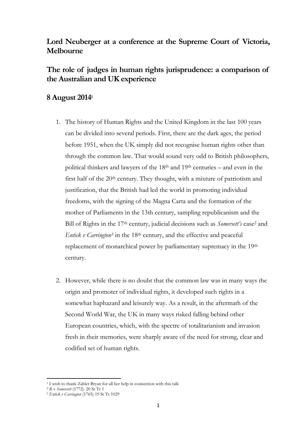## **Lord Neuberger at a conference at the Supreme Court of Victoria, Melbourne**

## **The role of judges in human rights jurisprudence: a comparison of the Australian and UK experience**

## **8 August 2014<sup>1</sup>**

- 1. The history of Human Rights and the United Kingdom in the last 100 years can be divided into several periods. First, there are the dark ages, the period before 1951, when the UK simply did not recognise human rights other than through the common law. That would sound very odd to British philosophers, political thinkers and lawyers of the 18th and 19th centuries – and even in the first half of the 20<sup>th</sup> century. They thought, with a mixture of patriotism and justification, that the British had led the world in promoting individual freedoms, with the signing of the Magna Carta and the formation of the mother of Parliaments in the 13th century, sampling republicanism and the Bill of Rights in the 17th century, judicial decisions such as *Somersett's* case<sup>2</sup> and *Entick v Carrington<sup>3</sup>* in the 18th century, and the effective and peaceful replacement of monarchical power by parliamentary supremacy in the 19<sup>th</sup> century.
- 2. However, while there is no doubt that the common law was in many ways the origin and promoter of individual rights, it developed such rights in a somewhat haphazard and leisurely way. As a result, in the aftermath of the Second World War, the UK in many ways risked falling behind other European countries, which, with the spectre of totalitarianism and invasion fresh in their memories, were sharply aware of the need for strong, clear and codified set of human rights.

l <sup>1</sup> I wish to thank Zahler Bryan for all her help in connection with this talk

<sup>2</sup> *R* v *Somersett* (1772). 20 St Tr 1

<sup>3</sup> *[Entick v Carrington](http://www.bailii.org/cgi-bin/markup.cgi?doc=/ew/cases/EWHC/KB/1765/J98.html&query=Entick&method=boolean)* (1765) 19 St Tr 1029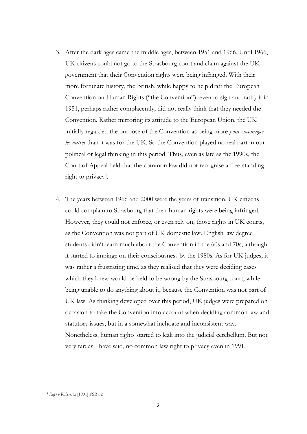- 3. After the dark ages came the middle ages, between 1951 and 1966. Until 1966, UK citizens could not go to the Strasbourg court and claim against the UK government that their Convention rights were being infringed. With their more fortunate history, the British, while happy to help draft the European Convention on Human Rights ("the Convention"), even to sign and ratify it in 1951, perhaps rather complacently, did not really think that they needed the Convention. Rather mirroring its attitude to the European Union, the UK initially regarded the purpose of the Convention as being more *pour encourager les autres* than it was for the UK. So the Convention played no real part in our political or legal thinking in this period. Thus, even as late as the 1990s, the Court of Appeal held that the common law did not recognise a free-standing right to privacy<sup>4</sup>.
- 4. The years between 1966 and 2000 were the years of transition. UK citizens could complain to Strasbourg that their human rights were being infringed. However, they could not enforce, or even rely on, those rights in UK courts, as the Convention was not part of UK domestic law. English law degree students didn't learn much about the Convention in the 60s and 70s, although it started to impinge on their consciousness by the 1980s. As for UK judges, it was rather a frustrating time, as they realised that they were deciding cases which they knew would be held to be wrong by the Strasbourg court, while being unable to do anything about it, because the Convention was not part of UK law. As thinking developed over this period, UK judges were prepared on occasion to take the Convention into account when deciding common law and statutory issues, but in a somewhat inchoate and inconsistent way. Nonetheless, human rights started to leak into the judicial cerebellum. But not very far: as I have said, no common law right to privacy even in 1991.

l

<sup>4</sup> *Kaye v Robertson* [1991] FSR 62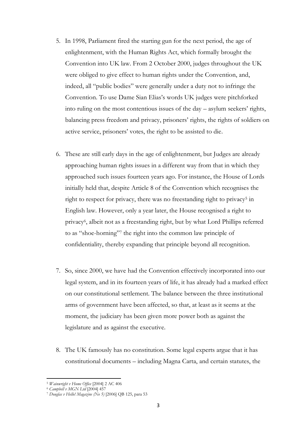- 5. In 1998, Parliament fired the starting gun for the next period, the age of enlightenment, with the Human Rights Act, which formally brought the Convention into UK law. From 2 October 2000, judges throughout the UK were obliged to give effect to human rights under the Convention, and, indeed, all "public bodies" were generally under a duty not to infringe the Convention. To use Dame Sian Elias's words UK judges were pitchforked into ruling on the most contentious issues of the day – asylum seekers' rights, balancing press freedom and privacy, prisoners' rights, the rights of soldiers on active service, prisoners' votes, the right to be assisted to die.
- 6. These are still early days in the age of enlightenment, but Judges are already approaching human rights issues in a different way from that in which they approached such issues fourteen years ago. For instance, the House of Lords initially held that, despite Article 8 of the Convention which recognises the right to respect for privacy, there was no freestanding right to privacy<sup>5</sup> in English law. However, only a year later, the House recognised a right to privacy<sup>6</sup> , albeit not as a freestanding right, but by what Lord Phillips referred to as "shoe-horning"<sup>7</sup> the right into the common law principle of confidentiality, thereby expanding that principle beyond all recognition.
- 7. So, since 2000, we have had the Convention effectively incorporated into our legal system, and in its fourteen years of life, it has already had a marked effect on our constitutional settlement. The balance between the three institutional arms of government have been affected, so that, at least as it seems at the moment, the judiciary has been given more power both as against the legislature and as against the executive.
- 8. The UK famously has no constitution. Some legal experts argue that it has constitutional documents – including Magna Carta, and certain statutes, the

l <sup>5</sup> *Wainwright v Home Office* [2004] 2 AC 406

<sup>6</sup> *Campbell v MGN Ltd* [2004] 457

<sup>7</sup> *Douglas v Hello! Magazine (No 5)* [2006] QB 125, para 53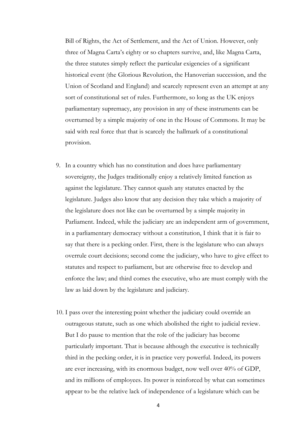Bill of Rights, the Act of Settlement, and the Act of Union. However, only three of Magna Carta's eighty or so chapters survive, and, like Magna Carta, the three statutes simply reflect the particular exigencies of a significant historical event (the Glorious Revolution, the Hanoverian succession, and the Union of Scotland and England) and scarcely represent even an attempt at any sort of constitutional set of rules. Furthermore, so long as the UK enjoys parliamentary supremacy, any provision in any of these instruments can be overturned by a simple majority of one in the House of Commons. It may be said with real force that that is scarcely the hallmark of a constitutional provision.

- 9. In a country which has no constitution and does have parliamentary sovereignty, the Judges traditionally enjoy a relatively limited function as against the legislature. They cannot quash any statutes enacted by the legislature. Judges also know that any decision they take which a majority of the legislature does not like can be overturned by a simple majority in Parliament. Indeed, while the judiciary are an independent arm of government, in a parliamentary democracy without a constitution, I think that it is fair to say that there is a pecking order. First, there is the legislature who can always overrule court decisions; second come the judiciary, who have to give effect to statutes and respect to parliament, but are otherwise free to develop and enforce the law; and third comes the executive, who are must comply with the law as laid down by the legislature and judiciary.
- 10. I pass over the interesting point whether the judiciary could override an outrageous statute, such as one which abolished the right to judicial review. But I do pause to mention that the role of the judiciary has become particularly important. That is because although the executive is technically third in the pecking order, it is in practice very powerful. Indeed, its powers are ever increasing, with its enormous budget, now well over 40% of GDP, and its millions of employees. Its power is reinforced by what can sometimes appear to be the relative lack of independence of a legislature which can be

4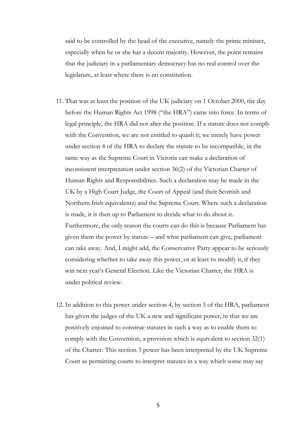said to be controlled by the head of the executive, namely the prime minister, especially when he or she has a decent majority. However, the point remains that the judiciary in a parliamentary democracy has no real control over the legislature, at least where there is no constitution.

- 11. That was at least the position of the UK judiciary on 1 October 2000, the day before the Human Rights Act 1998 ("the HRA") came into force. In terms of legal principle, the HRA did not alter the position. If a statute does not comply with the Convention, we are not entitled to quash it; we merely have power under section 4 of the HRA to declare the statute to be incompatible, in the same way as the Supreme Court in Victoria can make a declaration of inconsistent interpretation under section 36(2) of the Victorian Charter of Human Rights and Responsibilities. Such a declaration may be made in the UK by a High Court Judge, the Court of Appeal (and their Scottish and Northern Irish equivalents) and the Supreme Court. Where such a declaration is made, it is then up to Parliament to decide what to do about it. Furthermore, the only reason the courts can do this is because Parliament has given them the power by statute – and what parliament can give, parliament can take away. And, I might add, the Conservative Party appear to be seriously considering whether to take away this power, or at least to modify it, if they win next year's General Election. Like the Victorian Charter, the HRA is under political review.
- 12. In addition to this power under section 4, by section 3 of the HRA, parliament has given the judges of the UK a new and significant power, in that we are positively enjoined to construe statutes in such a way as to enable them to comply with the Convention, a provision which is equivalent to section 32(1) of the Charter. This section 3 power has been interpreted by the UK Supreme Court as permitting courts to interpret statutes in a way which some may say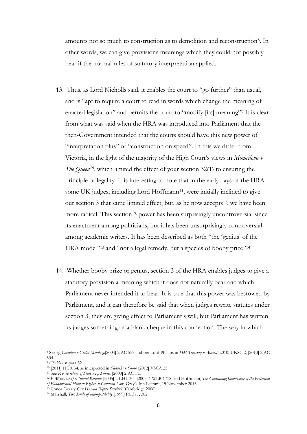amounts not so much to construction as to demolition and reconstruction<sup>8</sup>. In other words, we can give provisions meanings which they could not possibly bear if the normal rules of statutory interpretation applied.

- 13. Thus, as Lord Nicholls said, it enables the court to "go further" than usual, and is "apt to require a court to read in words which change the meaning of enacted legislation" and permits the court to "modify [its] meaning"<sup>9</sup> It is clear from what was said when the HRA was introduced into Parliament that the then-Government intended that the courts should have this new power of "interpretation plus" or "construction on speed". In this we differ from Victoria, in the light of the majority of the High Court's views in *Momcilovic v The Queen<sup>10</sup>*, which limited the effect of your section 32(1) to ensuring the principle of legality. It is interesting to note that in the early days of the HRA some UK judges, including Lord Hoffmann<sup>11</sup>, were initially inclined to give our section 3 that same limited effect, but, as he now accepts<sup>12</sup>, we have been more radical. This section 3 power has been surprisingly uncontroversial since its enactment among politicians, but it has been unsurprisingly controversial among academic writers. It has been described as both "the 'genius' of the HRA model"<sup>13</sup> and "not a legal remedy, but a species of booby prize"<sup>14</sup>
- 14. Whether booby prize or genius, section 3 of the HRA enables judges to give a statutory provision a meaning which it does not naturally bear and which Parliament never intended it to bear. It is true that this power was bestowed by Parliament, and it can therefore be said that when judges rewrite statutes under section 3, they are giving effect to Parliament's will, but Parliament has written us judges something of a blank cheque in this connection. The way in which

<sup>8</sup> See eg *Ghaidan v Godin-Mendoza*[2004] 2 AC 557 and per Lord Phillips in *[HM Treasury v Ahmed](http://www.bailii.org/uk/cases/UKSC/2010/2.html)* [2010] UKSC 2, [2010] 2 AC 534

<sup>9</sup> *Ghaidan* at para 32

<sup>10</sup> [2011] HCA 34, as interpreted in *Slaveski v Smith* [2012] VSCA 25

<sup>11</sup> See *R v Secretary of State ex p Simms* [2000] 2 AC 115

<sup>12</sup> *R (Wilkinson) v. Inland Revenue* [2005] UKHL 30, [2005] 1 WLR 1718, and Hoffmann, *The Continuing Importance of the Protection of Fundamental Human Rights at Common Law,* Gray's Inn Lecture, 15 November 2013

<sup>13</sup> Conor Gearty *Can Human Rights Survive?* (Cambridge 2006)

<sup>14</sup> Marshall, *Two kinds of incompatibility* [1999] PL 377, 382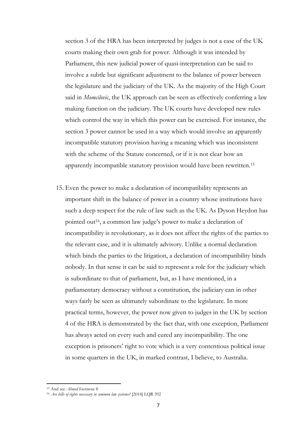section 3 of the HRA has been interpreted by judges is not a case of the UK courts making their own grab for power. Although it was intended by Parliament, this new judicial power of quasi-interpretation can be said to involve a subtle but significant adjustment to the balance of power between the legislature and the judiciary of the UK. As the majority of the High Court said in *Momcilovic*, the UK approach can be seen as effectively conferring a law making function on the judiciary. The UK courts have developed new rules which control the way in which this power can be exercised. For instance, the section 3 power cannot be used in a way which would involve an apparently incompatible statutory provision having a meaning which was inconsistent with the scheme of the Statute concerned, or if it is not clear how an apparently incompatible statutory provision would have been rewritten.<sup>15</sup>

15. Even the power to make a declaration of incompatibility represents an important shift in the balance of power in a country whose institutions have such a deep respect for the rule of law such as the UK. As Dyson Heydon has pointed out<sup>16</sup>, a common law judge's power to make a declaration of incompatibility is revolutionary, as it does not affect the rights of the parties to the relevant case, and it is ultimately advisory. Unlike a normal declaration which binds the parties to the litigation, a declaration of incompatibility binds nobody. In that sense it can be said to represent a role for the judiciary which is subordinate to that of parliament, but, as I have mentioned, in a parliamentary democracy without a constitution, the judiciary can in other ways fairly be seen as ultimately subordinate to the legislature. In more practical terms, however, the power now given to judges in the UK by section 4 of the HRA is demonstrated by the fact that, with one exception, Parliament has always acted on every such and cured any incompatibility. The one exception is prisoners' right to vote which is a very contentious political issue in some quarters in the UK, in marked contrast, I believe, to Australia.

<sup>15</sup> And see *Ahmed* footnote 8

<sup>16</sup> *Are bills of rights necessary in common law systems?* [2014] LQR 392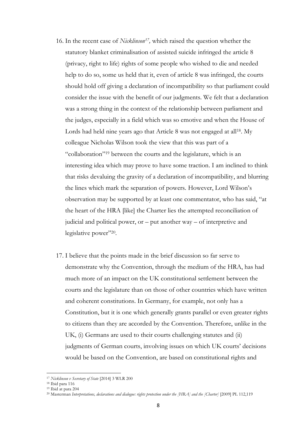- 16. In the recent case of *Nicklinson<sup>17</sup>*, which raised the question whether the statutory blanket criminalisation of assisted suicide infringed the article 8 (privacy, right to life) rights of some people who wished to die and needed help to do so, some us held that it, even of article 8 was infringed, the courts should hold off giving a declaration of incompatibility so that parliament could consider the issue with the benefit of our judgments. We felt that a declaration was a strong thing in the context of the relationship between parliament and the judges, especially in a field which was so emotive and when the House of Lords had held nine years ago that Article 8 was not engaged at all<sup>18</sup>. My colleague Nicholas Wilson took the view that this was part of a "collaboration" <sup>19</sup> between the courts and the legislature, which is an interesting idea which may prove to have some traction. I am inclined to think that risks devaluing the gravity of a declaration of incompatibility, and blurring the lines which mark the separation of powers. However, Lord Wilson's observation may be supported by at least one commentator, who has said, "at the heart of the HRA [like] the Charter lies the attempted reconciliation of judicial and political power, or – put another way – of interpretive and legislative power"<sup>20</sup>.
- 17. I believe that the points made in the brief discussion so far serve to demonstrate why the Convention, through the medium of the HRA, has had much more of an impact on the UK constitutional settlement between the courts and the legislature than on those of other countries which have written and coherent constitutions. In Germany, for example, not only has a Constitution, but it is one which generally grants parallel or even greater rights to citizens than they are accorded by the Convention. Therefore, unlike in the UK, (i) Germans are used to their courts challenging statutes and (ii) judgments of German courts, involving issues on which UK courts' decisions would be based on the Convention, are based on constitutional rights and

<sup>17</sup> *Nicklinson v Secretary of State* [2014] 3 WLR 200

<sup>18</sup> Ibid para 116

<sup>19</sup> Ibid at para 204

<sup>&</sup>lt;sup>20</sup> Masterman *Interpretations, declarations and dialogue: rights protection under the [HRA] and the [Charter]* [2009] PL 112,119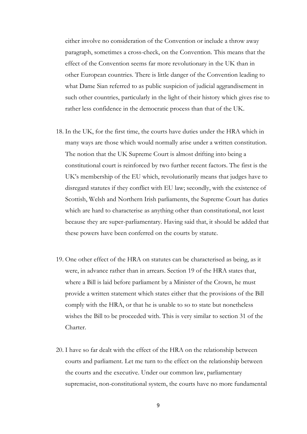either involve no consideration of the Convention or include a throw away paragraph, sometimes a cross-check, on the Convention. This means that the effect of the Convention seems far more revolutionary in the UK than in other European countries. There is little danger of the Convention leading to what Dame Sian referred to as public suspicion of judicial aggrandisement in such other countries, particularly in the light of their history which gives rise to rather less confidence in the democratic process than that of the UK.

- 18. In the UK, for the first time, the courts have duties under the HRA which in many ways are those which would normally arise under a written constitution. The notion that the UK Supreme Court is almost drifting into being a constitutional court is reinforced by two further recent factors. The first is the UK's membership of the EU which, revolutionarily means that judges have to disregard statutes if they conflict with EU law; secondly, with the existence of Scottish, Welsh and Northern Irish parliaments, the Supreme Court has duties which are hard to characterise as anything other than constitutional, not least because they are super-parliamentary. Having said that, it should be added that these powers have been conferred on the courts by statute.
- 19. One other effect of the HRA on statutes can be characterised as being, as it were, in advance rather than in arrears. Section 19 of the HRA states that, where a Bill is laid before parliament by a Minister of the Crown, he must provide a written statement which states either that the provisions of the Bill comply with the HRA, or that he is unable to so to state but nonetheless wishes the Bill to be proceeded with. This is very similar to section 31 of the Charter.
- 20. I have so far dealt with the effect of the HRA on the relationship between courts and parliament. Let me turn to the effect on the relationship between the courts and the executive. Under our common law, parliamentary supremacist, non-constitutional system, the courts have no more fundamental

9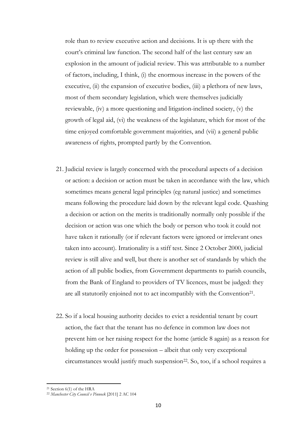role than to review executive action and decisions. It is up there with the court's criminal law function. The second half of the last century saw an explosion in the amount of judicial review. This was attributable to a number of factors, including, I think, (i) the enormous increase in the powers of the executive, (ii) the expansion of executive bodies, (iii) a plethora of new laws, most of them secondary legislation, which were themselves judicially reviewable, (iv) a more questioning and litigation-inclined society, (v) the growth of legal aid, (vi) the weakness of the legislature, which for most of the time enjoyed comfortable government majorities, and (vii) a general public awareness of rights, prompted partly by the Convention.

- 21. Judicial review is largely concerned with the procedural aspects of a decision or action: a decision or action must be taken in accordance with the law, which sometimes means general legal principles (eg natural justice) and sometimes means following the procedure laid down by the relevant legal code. Quashing a decision or action on the merits is traditionally normally only possible if the decision or action was one which the body or person who took it could not have taken it rationally (or if relevant factors were ignored or irrelevant ones taken into account). Irrationality is a stiff test. Since 2 October 2000, judicial review is still alive and well, but there is another set of standards by which the action of all public bodies, from Government departments to parish councils, from the Bank of England to providers of TV licences, must be judged: they are all statutorily enjoined not to act incompatibly with the Convention<sup>21</sup>.
- 22. So if a local housing authority decides to evict a residential tenant by court action, the fact that the tenant has no defence in common law does not prevent him or her raising respect for the home (article 8 again) as a reason for holding up the order for possession – albeit that only very exceptional circumstances would justify much suspension<sup>22</sup>. So, too, if a school requires a

<sup>21</sup> Section 6(1) of the HRA

<sup>22</sup> *Manchester City Council v Pinnock* [2011] 2 AC 104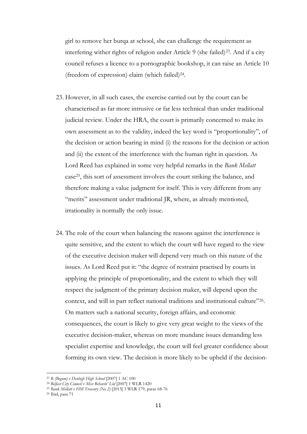girl to remove her burqa at school, she can challenge the requirement as interfering wither rights of religion under Article 9 (she failed)<sup>23</sup>. And if a city council refuses a licence to a pornographic bookshop, it can raise an Article 10 (freedom of expression) claim (which failed)<sup>24</sup> .

- 23. However, in all such cases, the exercise carried out by the court can be characterised as far more intrusive or far less technical than under traditional judicial review. Under the HRA, the court is primarily concerned to make its own assessment as to the validity, indeed the key word is "proportionality", of the decision or action bearing in mind (i) the reasons for the decision or action and (ii) the extent of the interference with the human right in question. As Lord Reed has explained in some very helpful remarks in the *Bank Mellatt* case25, this sort of assessment involves the court striking the balance, and therefore making a value judgment for itself. This is very different from any "merits" assessment under traditional JR, where, as already mentioned, irrationality is normally the only issue.
- 24. The role of the court when balancing the reasons against the interference is quite sensitive, and the extent to which the court will have regard to the view of the executive decision maker will depend very much on this nature of the issues. As Lord Reed put it: "the degree of restraint practised by courts in applying the principle of proportionality, and the extent to which they will respect the judgment of the primary decision maker, will depend upon the context, and will in part reflect national traditions and institutional culture"<sup>26</sup> . On matters such a national security, foreign affairs, and economic consequences, the court is likely to give very great weight to the views of the executive decision-maker, whereas on more mundane issues demanding less specialist expertise and knowledge, the court will feel greater confidence about forming its own view. The decision is more likely to be upheld if the decision-

<sup>23</sup> *R (Begum) v Denbigh High School* [2007] 1 AC 100

<sup>24</sup> *Belfast City Council v Miss Behavin' Ltd* [2007] 1 WLR 1420

<sup>25</sup> *Bank Mellatt v HM Treasury (No 2)* [2013] 3 WLR 179, paras 68-76

<sup>26</sup> Ibid, para 71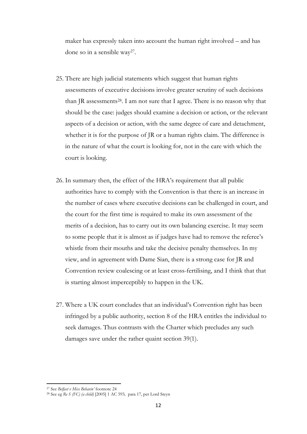maker has expressly taken into account the human right involved – and has done so in a sensible way<sup>27</sup> .

- 25. There are high judicial statements which suggest that human rights assessments of executive decisions involve greater scrutiny of such decisions than JR assessments<sup>28</sup>. I am not sure that I agree. There is no reason why that should be the case: judges should examine a decision or action, or the relevant aspects of a decision or action, with the same degree of care and detachment, whether it is for the purpose of JR or a human rights claim. The difference is in the nature of what the court is looking for, not in the care with which the court is looking.
- 26. In summary then, the effect of the HRA's requirement that all public authorities have to comply with the Convention is that there is an increase in the number of cases where executive decisions can be challenged in court, and the court for the first time is required to make its own assessment of the merits of a decision, has to carry out its own balancing exercise. It may seem to some people that it is almost as if judges have had to remove the referee's whistle from their mouths and take the decisive penalty themselves. In my view, and in agreement with Dame Sian, there is a strong case for JR and Convention review coalescing or at least cross-fertilising, and I think that that is starting almost imperceptibly to happen in the UK.
- 27. Where a UK court concludes that an individual's Convention right has been infringed by a public authority, section 8 of the HRA entitles the individual to seek damages. Thus contrasts with the Charter which precludes any such damages save under the rather quaint section 39(1).

<sup>27</sup> See *Belfast v Miss Behavin'* footnote 24

<sup>28</sup> See eg *Re S (FC) (a child)* [2005] 1 AC 593*,* para 17, per Lord Steyn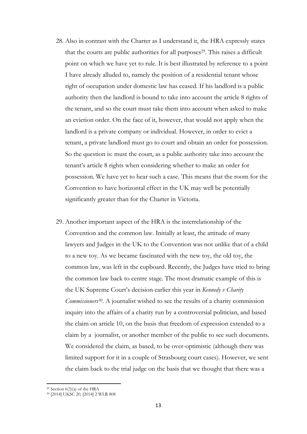- 28. Also in contrast with the Charter as I understand it, the HRA expressly states that the courts are public authorities for all purposes <sup>29</sup>. This raises a difficult point on which we have yet to rule. It is best illustrated by reference to a point I have already alluded to, namely the position of a residential tenant whose right of occupation under domestic law has ceased. If his landlord is a public authority then the landlord is bound to take into account the article 8 rights of the tenant, and so the court must take them into account when asked to make an eviction order. On the face of it, however, that would not apply when the landlord is a private company or individual. However, in order to evict a tenant, a private landlord must go to court and obtain an order for possession. So the question is: must the court, as a public authority take into account the tenant's article 8 rights when considering whether to make an order for possession. We have yet to hear such a case. This means that the room for the Convention to have horizontal effect in the UK may well be potentially significantly greater than for the Charter in Victoria.
- 29. Another important aspect of the HRA is the interrelationship of the Convention and the common law. Initially at least, the attitude of many lawyers and Judges in the UK to the Convention was not unlike that of a child to a new toy. As we became fascinated with the new toy, the old toy, the common law, was left in the cupboard. Recently, the Judges have tried to bring the common law back to centre stage. The most dramatic example of this is the UK Supreme Court's decision earlier this year in *Kennedy v Charity Commissioners30*. A journalist wished to see the results of a charity commission inquiry into the affairs of a charity run by a controversial politician, and based the claim on article 10, on the basis that freedom of expression extended to a claim by a journalist, or another member of the public to see such documents. We considered the claim, as based, to be over-optimistic (although there was limited support for it in a couple of Strasbourg court cases). However, we sent the claim back to the trial judge on the basis that we thought that there was a

 $\overline{a}$ <sup>29</sup> Section  $6(3)(a)$  of the HRA

<sup>30</sup> [2014] UKSC 20, [2014] 2 WLR 808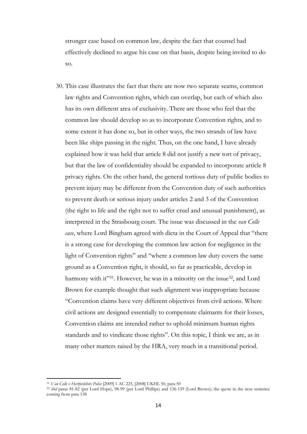stronger case based on common law, despite the fact that counsel had effectively declined to argue his case on that basis, despite being invited to do so.

30. This case illustrates the fact that there are now two separate seams, common law rights and Convention rights, which can overlap, but each of which also has its own different area of exclusivity. There are those who feel that the common law should develop so as to incorporate Convention rights, and to some extent it has done so, but in other ways, the two strands of law have been like ships passing in the night. Thus, on the one hand, I have already explained how it was held that article 8 did not justify a new tort of privacy, but that the law of confidentiality should be expanded to incorporate article 8 privacy rights. On the other hand, the general tortious duty of public bodies to prevent injury may be different from the Convention duty of such authorities to prevent death or serious injury under articles 2 and 3 of the Convention (the right to life and the right not to suffer cruel and unusual punishment), as interpreted in the Strasbourg court. The issue was discussed in the *van Colle case*, where Lord Bingham agreed with dicta in the Court of Appeal that "there is a strong case for developing the common law action for negligence in the light of Convention rights" and "where a common law duty covers the same ground as a Convention right, it should, so far as practicable, develop in harmony with it"<sup>31</sup>. However, he was in a minority on the issue<sup>32</sup>, and Lord Brown for example thought that such alignment was inappropriate because "Convention claims have very different objectives from civil actions. Where civil actions are designed essentially to compensate claimants for their losses, Convention claims are intended rather to uphold minimum human rights standards and to vindicate those rights". On this topic, I think we are, as in many other matters raised by the HRA, very much in a transitional period.

l

<sup>31</sup> *Van Colle v Hertfordshire Police* [2009] 1 AC 225, [2008] UKHL 50, para 50

<sup>32</sup> *ibid* paras 81-82 (per Lord Hope), 98-99 (per Lord Phillips) and 136-139 (Lord Brown); the quote in the next sentence coming from para 138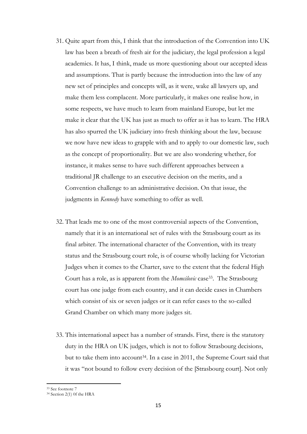- 31. Quite apart from this, I think that the introduction of the Convention into UK law has been a breath of fresh air for the judiciary, the legal profession a legal academics. It has, I think, made us more questioning about our accepted ideas and assumptions. That is partly because the introduction into the law of any new set of principles and concepts will, as it were, wake all lawyers up, and make them less complacent. More particularly, it makes one realise how, in some respects, we have much to learn from mainland Europe, but let me make it clear that the UK has just as much to offer as it has to learn. The HRA has also spurred the UK judiciary into fresh thinking about the law, because we now have new ideas to grapple with and to apply to our domestic law, such as the concept of proportionality. But we are also wondering whether, for instance, it makes sense to have such different approaches between a traditional JR challenge to an executive decision on the merits, and a Convention challenge to an administrative decision. On that issue, the judgments in *Kennedy* have something to offer as well*.*
- 32. That leads me to one of the most controversial aspects of the Convention, namely that it is an international set of rules with the Strasbourg court as its final arbiter. The international character of the Convention, with its treaty status and the Strasbourg court role, is of course wholly lacking for Victorian Judges when it comes to the Charter, save to the extent that the federal High Court has a role, as is apparent from the *Momcilovic* case<sup>33</sup> . The Strasbourg court has one judge from each country, and it can decide cases in Chambers which consist of six or seven judges or it can refer cases to the so-called Grand Chamber on which many more judges sit.
- 33. This international aspect has a number of strands. First, there is the statutory duty in the HRA on UK judges, which is not to follow Strasbourg decisions, but to take them into account<sup>34</sup>. In a case in 2011, the Supreme Court said that it was "not bound to follow every decision of the [Strasbourg court]. Not only

<sup>33</sup> See footnote 7

<sup>34</sup> Section 2(1) 0f the HRA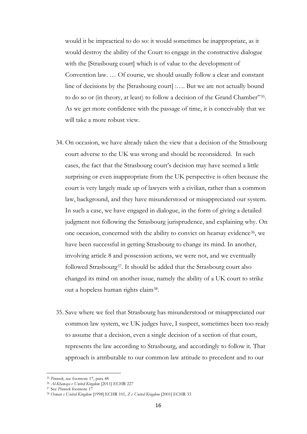would it be impractical to do so: it would sometimes be inappropriate, as it would destroy the ability of the Court to engage in the constructive dialogue with the [Strasbourg court] which is of value to the development of Convention law. … Of course, we should usually follow a clear and constant line of decisions by the [Strasbourg court] :…. But we are not actually bound to do so or (in theory, at least) to follow a decision of the Grand Chamber"<sup>35</sup> . As we get more confidence with the passage of time, it is conceivably that we will take a more robust view.

- 34. On occasion, we have already taken the view that a decision of the Strasbourg court adverse to the UK was wrong and should be reconsidered. In such cases, the fact that the Strasbourg court's decision may have seemed a little surprising or even inappropriate from the UK perspective is often because the court is very largely made up of lawyers with a civilian, rather than a common law, background, and they have misunderstood or misappreciated our system. In such a case, we have engaged in dialogue, in the form of giving a detailed judgment not following the Strasbourg jurisprudence, and explaining why. On one occasion, concerned with the ability to convict on hearsay evidence36, we have been successful in getting Strasbourg to change its mind. In another, involving article 8 and possession actions, we were not, and we eventually followed Strasbourg<sup>37</sup>. It should be added that the Strasbourg court also changed its mind on another issue, namely the ability of a UK court to strike out a hopeless human rights claim<sup>38</sup>.
- 35. Save where we feel that Strasbourg has misunderstood or misappreciated our common law system, we UK judges have, I suspect, sometimes been too ready to assume that a decision, even a single decision of a section of that court, represents the law according to Strasbourg, and accordingly to follow it. That approach is attributable to our common law attitude to precedent and to our

<sup>35</sup> *Pinnock*, see footnote 17, para 48

<sup>36</sup> *Al-Khawaja v United Kingdom* [2011] ECHR 227

<sup>37</sup> See *Pinnock* footnote 17

<sup>38</sup> *Osman v United Kingdom* [1998] ECHR 101, *Z v United Kingdom* [2001] ECHR 33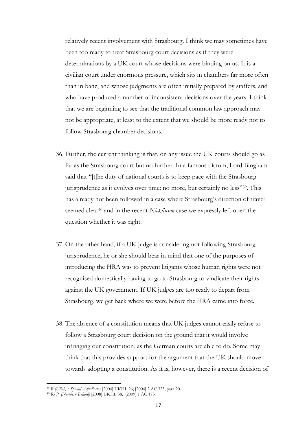relatively recent involvement with Strasbourg. I think we may sometimes have been too ready to treat Strasbourg court decisions as if they were determinations by a UK court whose decisions were binding on us. It is a civilian court under enormous pressure, which sits in chambers far more often than in banc, and whose judgments are often initially prepared by staffers, and who have produced a number of inconsistent decisions over the years. I think that we are beginning to see that the traditional common law approach may not be appropriate, at least to the extent that we should be more ready not to follow Strasbourg chamber decisions.

- 36. Further, the current thinking is that, on any issue the UK courts should go as far as the Strasbourg court but no further. In a famous dictum, Lord Bingham said that "[t[he duty of national courts is to keep pace with the Strasbourg jurisprudence as it evolves over time: no more, but certainly no less"39. This has already not been followed in a case where Strasbourg's direction of travel seemed clear<sup>40</sup> and in the recent *Nicklinson* case we expressly left open the question whether it was right.
- 37. On the other hand, if a UK judge is considering not following Strasbourg jurisprudence, he or she should bear in mind that one of the purposes of introducing the HRA was to prevent litigants whose human rights were not recognised domestically having to go to Strasbourg to vindicate their rights against the UK government. If UK judges are too ready to depart from Strasbourg, we get back where we were before the HRA came into force.
- 38. The absence of a constitution means that UK judges cannot easily refuse to follow a Strasbourg court decision on the ground that it would involve infringing our constitution, as the German courts are able to do. Some may think that this provides support for the argument that the UK should move towards adopting a constitution. As it is, however, there is a recent decision of

<sup>39</sup> *R (Ullah) v Special Adjudicator* [\[2004\] UKHL 26;](http://www.bailii.org/uk/cases/UKHL/2004/26.html) [\[2004\] 2 AC 323,](http://www.bailii.org/cgi-bin/redirect.cgi?path=/uk/cases/UKHL/2004/26.html) para 20

<sup>40</sup> *Re P (Northern Ireland)* [2008] UKHL 38, [2009] 1 AC 173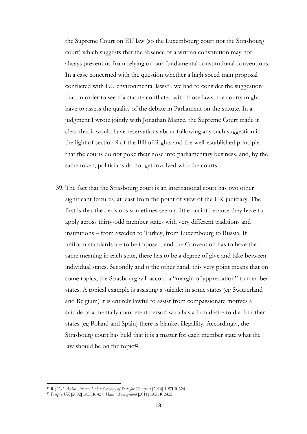the Supreme Court on EU law (so the Luxembourg court not the Strasbourg court) which suggests that the absence of a written constitution may not always prevent us from relying on our fundamental constitutional conventions. In a case concerned with the question whether a high speed train proposal conflicted with EU environmental laws<sup>41</sup>, we had to consider the suggestion that, in order to see if a statute conflicted with those laws, the courts might have to assess the quality of the debate in Parliament on the statute. In a judgment I wrote jointly with Jonathan Mance, the Supreme Court made it clear that it would have reservations about following any such suggestion in the light of section 9 of the Bill of Rights and the well-established principle that the courts do not poke their nose into parliamentary business, and, by the same token, politicians do not get involved with the courts.

39. The fact that the Strasbourg court is an international court has two other significant features, at least from the point of view of the UK judiciary. The first is that the decisions sometimes seem a little quaint because they have to apply across thirty-odd member states with very different traditions and institutions – from Sweden to Turkey, from Luxembourg to Russia. If uniform standards are to be imposed, and the Convention has to have the same meaning in each state, there has to be a degree of give and take between individual states. Secondly and o the other hand, this very point means that on some topics, the Strasbourg will accord a "margin of appreciation" to member states. A topical example is assisting a suicide: in some states (eg Switzerland and Belgium) it is entirely lawful to assist from compassionate motives a suicide of a mentally competent person who has a firm desire to die. In other states (eg Poland and Spain) there is blanket illegallity. Accordingly, the Strasbourg court has held that it is a matter for each member state what the law should be on the topic<sup>42</sup>.

<sup>41</sup> R (*[HS2 Action Alliance Ltd\) v Secretary of State for Transport](http://www.bailii.org/uk/cases/UKSC/2014/3.html)* [2014] 1 WLR 324

<sup>42</sup> *Pretty v UK* [2002] ECHR 427, *Haas v Switzerland* [2011] ECHR 2422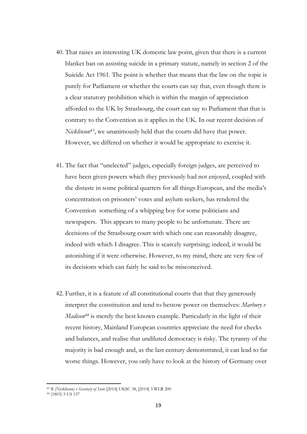- 40. That raises an interesting UK domestic law point, given that there is a current blanket ban on assisting suicide in a primary statute, namely in section 2 of the Suicide Act 1961. The point is whether that means that the law on the topic is purely for Parliament or whether the courts can say that, even though there is a clear statutory prohibition which is within the margin of appreciation afforded to the UK by Strasbourg, the court can say to Parliament that that is contrary to the Convention as it applies in the UK. In our recent decision of *Nicklinson43*, we unanimously held that the courts did have that power. However, we differed on whether it would be appropriate to exercise it.
- 41. The fact that "unelected" judges, especially foreign judges, are perceived to have been given powers which they previously had not enjoyed, coupled with the distaste in some political quarters for all things European, and the media's concentration on prisoners' votes and asylum seekers, has rendered the Convention something of a whipping boy for some politicians and newspapers. This appears to many people to be unfortunate. There are decisions of the Strasbourg court with which one can reasonably disagree, indeed with which I disagree. This is scarcely surprising; indeed, it would be astonishing if it were otherwise. However, to my mind, there are very few of its decisions which can fairly be said to be misconceived.
- 42. Further, it is a feature of all constitutional courts that that they generously interpret the constitution and tend to bestow power on themselves: *Marbury v Madison<sup>44</sup>* is merely the best known example. Particularly in the light of their recent history, Mainland European countries appreciate the need for checks and balances, and realise that undiluted democracy is risky. The tyranny of the majority is bad enough and, as the last century demonstrated, it can lead to far worse things. However, you only have to look at the history of Germany over

<sup>43</sup> *R (Nicklinson) v Secretary of State* [2014] UKSC 38, [2014] 3 WLR 200

<sup>44</sup> (1803) 5 US 137